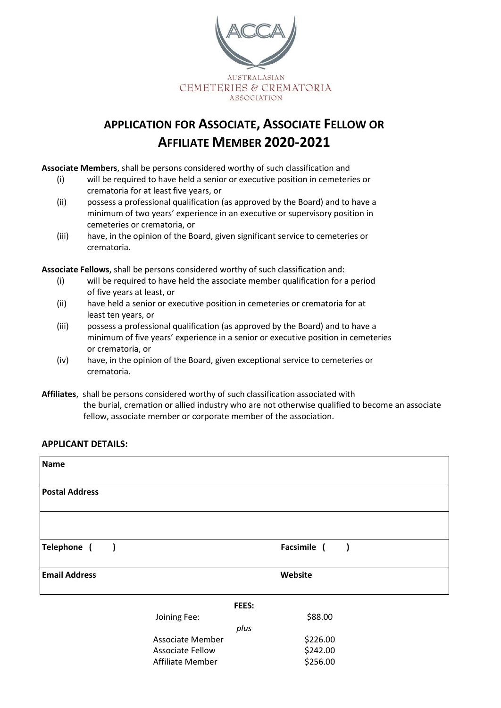

## **APPLICATION FOR ASSOCIATE, ASSOCIATE FELLOW OR AFFILIATE MEMBER 2020-2021**

**Associate Members**, shall be persons considered worthy of such classification and

- (i) will be required to have held a senior or executive position in cemeteries or crematoria for at least five years, or
- (ii) possess a professional qualification (as approved by the Board) and to have a minimum of two years' experience in an executive or supervisory position in cemeteries or crematoria, or
- (iii) have, in the opinion of the Board, given significant service to cemeteries or crematoria.

**Associate Fellows**, shall be persons considered worthy of such classification and:

- (i) will be required to have held the associate member qualification for a period of five years at least, or
- (ii) have held a senior or executive position in cemeteries or crematoria for at least ten years, or
- (iii) possess a professional qualification (as approved by the Board) and to have a minimum of five years' experience in a senior or executive position in cemeteries or crematoria, or
- (iv) have, in the opinion of the Board, given exceptional service to cemeteries or crematoria.
- **Affiliates**, shall be persons considered worthy of such classification associated with the burial, cremation or allied industry who are not otherwise qualified to become an associate fellow, associate member or corporate member of the association.

## **APPLICANT DETAILS:**

| <b>Name</b>                             |                         |             |  |  |
|-----------------------------------------|-------------------------|-------------|--|--|
| <b>Postal Address</b>                   |                         |             |  |  |
|                                         |                         |             |  |  |
| Telephone (<br>$\overline{\phantom{a}}$ |                         | Facsimile ( |  |  |
| <b>Email Address</b>                    | Website                 |             |  |  |
| FEES:                                   |                         |             |  |  |
|                                         | Joining Fee:            | \$88.00     |  |  |
|                                         | plus                    |             |  |  |
|                                         | <b>Associate Member</b> | \$226.00    |  |  |
|                                         | <b>Associate Fellow</b> | \$242.00    |  |  |
|                                         | Affiliate Member        | \$256.00    |  |  |